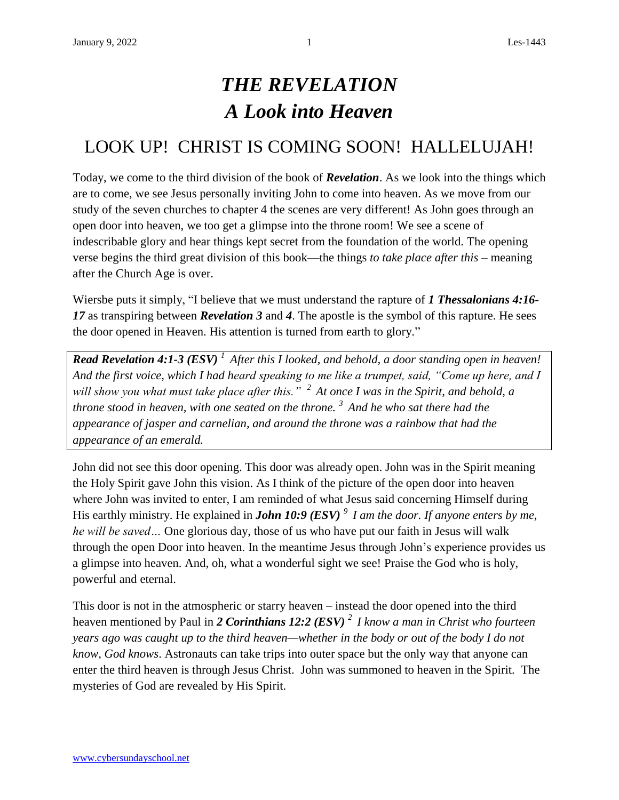## *THE REVELATION A Look into Heaven*

## LOOK UP! CHRIST IS COMING SOON! HALLELUJAH!

Today, we come to the third division of the book of *Revelation*. As we look into the things which are to come, we see Jesus personally inviting John to come into heaven. As we move from our study of the seven churches to chapter 4 the scenes are very different! As John goes through an open door into heaven, we too get a glimpse into the throne room! We see a scene of indescribable glory and hear things kept secret from the foundation of the world. The opening verse begins the third great division of this book—the things *to take place after this* – meaning after the Church Age is over.

Wiersbe puts it simply, "I believe that we must understand the rapture of *1 Thessalonians 4:16- 17* as transpiring between *Revelation 3* and *4*. The apostle is the symbol of this rapture. He sees the door opened in Heaven. His attention is turned from earth to glory."

*Read Revelation 4:1-3 (ESV) <sup>1</sup>After this I looked, and behold, a door standing open in heaven! And the first voice, which I had heard speaking to me like a trumpet, said, "Come up here, and I will show you what must take place after this." <sup>2</sup>At once I was in the Spirit, and behold, a throne stood in heaven, with one seated on the throne. <sup>3</sup>And he who sat there had the appearance of jasper and carnelian, and around the throne was a rainbow that had the appearance of an emerald.*

John did not see this door opening. This door was already open. John was in the Spirit meaning the Holy Spirit gave John this vision. As I think of the picture of the open door into heaven where John was invited to enter, I am reminded of what Jesus said concerning Himself during His earthly ministry. He explained in *John 10:9 (ESV) <sup>9</sup>I am the door. If anyone enters by me, he will be saved…* One glorious day, those of us who have put our faith in Jesus will walk through the open Door into heaven. In the meantime Jesus through John's experience provides us a glimpse into heaven. And, oh, what a wonderful sight we see! Praise the God who is holy, powerful and eternal.

This door is not in the atmospheric or starry heaven – instead the door opened into the third heaven mentioned by Paul in *2 Corinthians 12:2 (ESV) <sup>2</sup>I know a man in Christ who fourteen years ago was caught up to the third heaven—whether in the body or out of the body I do not know, God knows*. Astronauts can take trips into outer space but the only way that anyone can enter the third heaven is through Jesus Christ. John was summoned to heaven in the Spirit. The mysteries of God are revealed by His Spirit.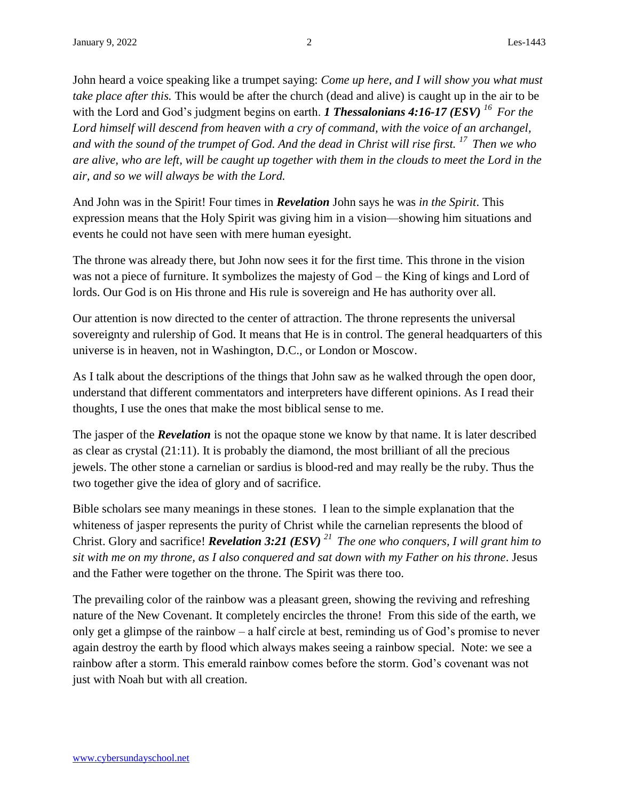John heard a voice speaking like a trumpet saying: *Come up here, and I will show you what must take place after this.* This would be after the church (dead and alive) is caught up in the air to be with the Lord and God's judgment begins on earth. *1 Thessalonians 4:16-17 (ESV)* <sup>16</sup> For the *Lord himself will descend from heaven with a cry of command, with the voice of an archangel, and with the sound of the trumpet of God. And the dead in Christ will rise first. <sup>17</sup>Then we who are alive, who are left, will be caught up together with them in the clouds to meet the Lord in the air, and so we will always be with the Lord.*

And John was in the Spirit! Four times in *Revelation* John says he was *in the Spirit*. This expression means that the Holy Spirit was giving him in a vision—showing him situations and events he could not have seen with mere human eyesight.

The throne was already there, but John now sees it for the first time. This throne in the vision was not a piece of furniture. It symbolizes the majesty of God – the King of kings and Lord of lords. Our God is on His throne and His rule is sovereign and He has authority over all.

Our attention is now directed to the center of attraction. The throne represents the universal sovereignty and rulership of God. It means that He is in control. The general headquarters of this universe is in heaven, not in Washington, D.C., or London or Moscow.

As I talk about the descriptions of the things that John saw as he walked through the open door, understand that different commentators and interpreters have different opinions. As I read their thoughts, I use the ones that make the most biblical sense to me.

The jasper of the *Revelation* is not the opaque stone we know by that name. It is later described as clear as crystal (21:11). It is probably the diamond, the most brilliant of all the precious jewels. The other stone a carnelian or sardius is blood-red and may really be the ruby. Thus the two together give the idea of glory and of sacrifice.

Bible scholars see many meanings in these stones. I lean to the simple explanation that the whiteness of jasper represents the purity of Christ while the carnelian represents the blood of Christ. Glory and sacrifice! *Revelation 3:21 (ESV) <sup>21</sup>The one who conquers, I will grant him to sit with me on my throne, as I also conquered and sat down with my Father on his throne*. Jesus and the Father were together on the throne. The Spirit was there too.

The prevailing color of the rainbow was a pleasant green, showing the reviving and refreshing nature of the New Covenant. It completely encircles the throne! From this side of the earth, we only get a glimpse of the rainbow – a half circle at best, reminding us of God's promise to never again destroy the earth by flood which always makes seeing a rainbow special. Note: we see a rainbow after a storm. This emerald rainbow comes before the storm. God's covenant was not just with Noah but with all creation.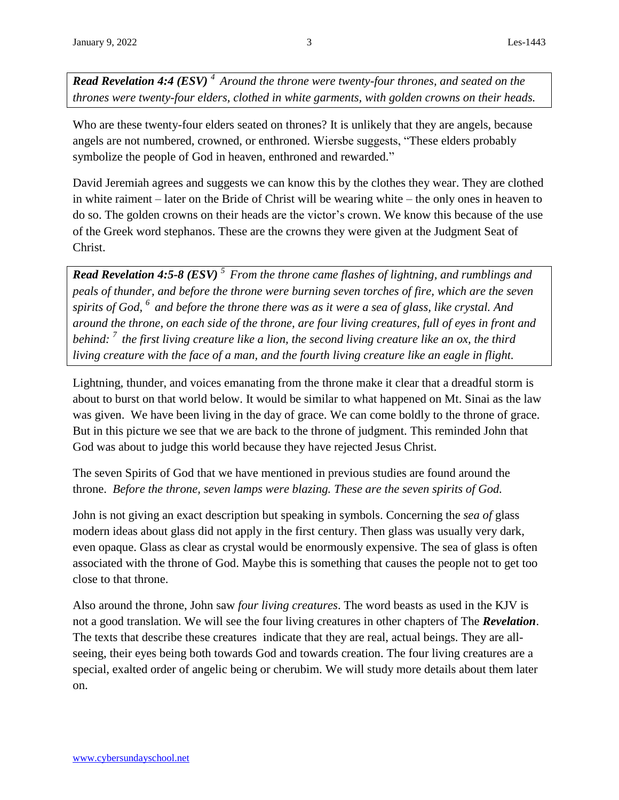*Read Revelation 4:4 (ESV) <sup>4</sup>Around the throne were twenty-four thrones, and seated on the thrones were twenty-four elders, clothed in white garments, with golden crowns on their heads.*

Who are these twenty-four elders seated on thrones? It is unlikely that they are angels, because angels are not numbered, crowned, or enthroned. Wiersbe suggests, "These elders probably symbolize the people of God in heaven, enthroned and rewarded."

David Jeremiah agrees and suggests we can know this by the clothes they wear. They are clothed in white raiment – later on the Bride of Christ will be wearing white – the only ones in heaven to do so. The golden crowns on their heads are the victor's crown. We know this because of the use of the Greek word stephanos. These are the crowns they were given at the Judgment Seat of Christ.

*Read Revelation 4:5-8 (ESV) <sup>5</sup>From the throne came flashes of lightning, and rumblings and peals of thunder, and before the throne were burning seven torches of fire, which are the seven spirits of God, <sup>6</sup>and before the throne there was as it were a sea of glass, like crystal. And around the throne, on each side of the throne, are four living creatures, full of eyes in front and behind: <sup>7</sup>the first living creature like a lion, the second living creature like an ox, the third living creature with the face of a man, and the fourth living creature like an eagle in flight.*

Lightning, thunder, and voices emanating from the throne make it clear that a dreadful storm is about to burst on that world below. It would be similar to what happened on Mt. Sinai as the law was given. We have been living in the day of grace. We can come boldly to the throne of grace. But in this picture we see that we are back to the throne of judgment. This reminded John that God was about to judge this world because they have rejected Jesus Christ.

The seven Spirits of God that we have mentioned in previous studies are found around the throne. *Before the throne, seven lamps were blazing. These are the seven spirits of God.* 

John is not giving an exact description but speaking in symbols. Concerning the *sea of* glass modern ideas about glass did not apply in the first century. Then glass was usually very dark, even opaque. Glass as clear as crystal would be enormously expensive. The sea of glass is often associated with the throne of God. Maybe this is something that causes the people not to get too close to that throne.

Also around the throne, John saw *four living creatures*. The word beasts as used in the KJV is not a good translation. We will see the four living creatures in other chapters of The *Revelation*. The texts that describe these creatures indicate that they are real, actual beings. They are allseeing, their eyes being both towards God and towards creation. The four living creatures are a special, exalted order of angelic being or cherubim. We will study more details about them later on.